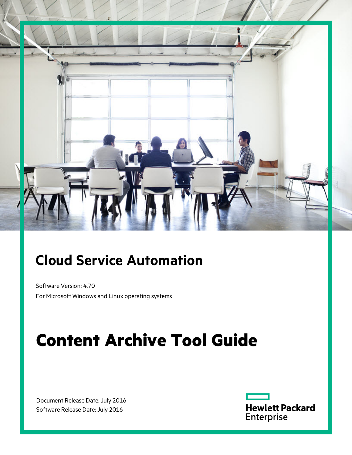

# **Cloud Service Automation**

Software Version: 4.70 For Microsoft Windows and Linux operating systems

# **Content Archive Tool Guide**

Document Release Date: July 2016 Software Release Date: July 2016

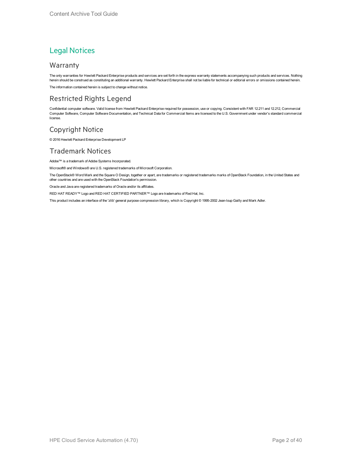### Legal Notices

#### Warranty

The only warranties for Hewlett Packard Enterprise products and services are set forth in the express warranty statements accompanying such products and services. Nothing herein should be construed as constituting an additional warranty. Hewlett Packard Enterprise shall not be liable for technical or editorial errors or omissions contained herein.

The information contained herein is subject to change without notice.

### Restricted Rights Legend

Confidential computer software. Valid license from Hewlett Packard Enterprise required for possession, use or copying. Consistent with FAR 12.211 and 12.212, Commercial Computer Software, Computer Software Documentation, and Technical Data for Commercial Items are licensed to the U.S. Government under vendor's standard commercial license.

### Copyright Notice

© 2016 Hewlett Packard Enterprise Development LP

#### Trademark Notices

Adobe™ is a trademark of Adobe Systems Incorporated.

Microsoft® and Windows® are U.S. registered trademarks of Microsoft Corporation.

The OpenStack® Word Mark and the Square O Design, together or apart, are trademarks or registered trademarks marks of OpenStack Foundation, in the United States and other countries and are used with the OpenStack Foundation's permission.

Oracle and Java are registered trademarks of Oracle and/or its affiliates.

RED HAT READY™ Logo and RED HAT CERTIFIED PARTNER™ Logo are trademarks of Red Hat, Inc.

This product includes an interface of the 'zlib' general purpose compression library, which is Copyright © 1995-2002 Jean-loup Gailly and Mark Adler.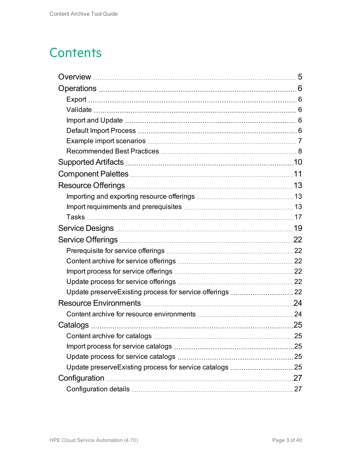# **Contents**

| Update preserveExisting process for service offerings  22 |  |
|-----------------------------------------------------------|--|
|                                                           |  |
|                                                           |  |
|                                                           |  |
|                                                           |  |
|                                                           |  |
|                                                           |  |
|                                                           |  |
|                                                           |  |
|                                                           |  |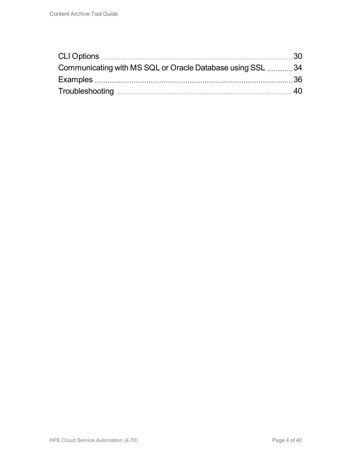| Communicating with MS SQL or Oracle Database using SSL 34 |  |
|-----------------------------------------------------------|--|
|                                                           |  |
|                                                           |  |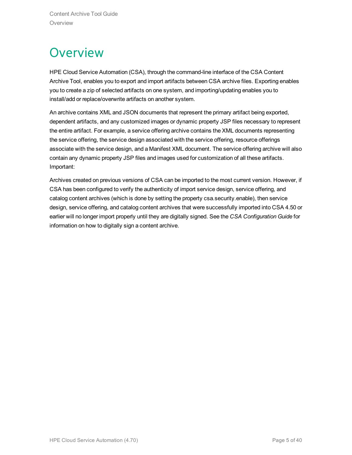# <span id="page-4-0"></span>**Overview**

HPE Cloud Service Automation (CSA), through the command-line interface of the CSA Content Archive Tool, enables you to export and import artifacts between CSA archive files. Exporting enables you to create a zip of selected artifacts on one system, and importing/updating enables you to install/add or replace/overwrite artifacts on another system.

An archive contains XML and JSON documents that represent the primary artifact being exported, dependent artifacts, and any customized images or dynamic property JSP files necessary to represent the entire artifact. For example, a service offering archive contains the XML documents representing the service offering, the service design associated with the service offering, resource offerings associate with the service design, and a Manifest XML document. The service offering archive will also contain any dynamic property JSP files and images used for customization of all these artifacts. Important:

Archives created on previous versions of CSA can be imported to the most current version. However, if CSA has been configured to verify the authenticity of import service design, service offering, and catalog content archives (which is done by setting the property csa.security.enable), then service design, service offering, and catalog content archives that were successfully imported into CSA 4.50 or earlier will no longer import properly until they are digitally signed. See the *CSA Configuration Guide* for information on how to digitally sign a content archive.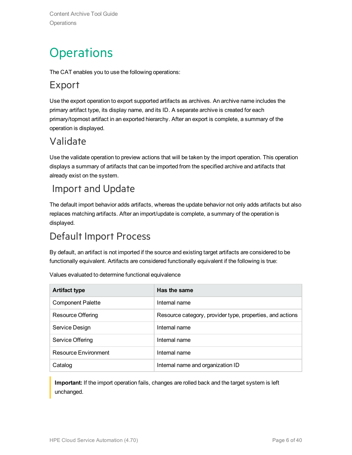Content Archive Tool Guide **Operations** 

# <span id="page-5-0"></span>**Operations**

<span id="page-5-1"></span>The CAT enables you to use the following operations:

### Export

Use the export operation to export supported artifacts as archives. An archive name includes the primary artifact type, its display name, and its ID. A separate archive is created for each primary/topmost artifact in an exported hierarchy. After an export is complete, a summary of the operation is displayed.

### <span id="page-5-2"></span>Validate

Use the validate operation to preview actions that will be taken by the import operation. This operation displays a summary of artifacts that can be imported from the specified archive and artifacts that already exist on the system.

### <span id="page-5-3"></span>Import and Update

The default import behavior adds artifacts, whereas the update behavior not only adds artifacts but also replaces matching artifacts. After an import/update is complete, a summary of the operation is displayed.

### <span id="page-5-4"></span>Default Import Process

By default, an artifact is not imported if the source and existing target artifacts are considered to be functionally equivalent. Artifacts are considered functionally equivalent if the following is true:

Values evaluated to determine functional equivalence

| <b>Artifact type</b>     | Has the same                                              |
|--------------------------|-----------------------------------------------------------|
| <b>Component Palette</b> | Internal name                                             |
| Resource Offering        | Resource category, provider type, properties, and actions |
| Service Design           | Internal name                                             |
| Service Offering         | Internal name                                             |
| Resource Environment     | Internal name                                             |
| Catalog                  | Internal name and organization ID                         |

**Important:** If the import operation fails, changes are rolled back and the target system is left unchanged.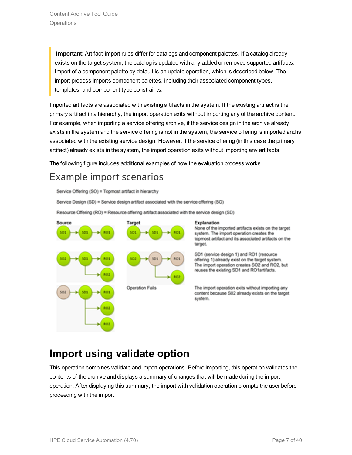**Important:** Artifact-import rules differ for catalogs and component palettes. If a catalog already exists on the target system, the catalog is updated with any added or removed supported artifacts. Import of a component palette by default is an update operation, which is described below. The import process imports component palettes, including their associated component types, templates, and component type constraints.

Imported artifacts are associated with existing artifacts in the system. If the existing artifact is the primary artifact in a hierarchy, the import operation exits without importing any of the archive content. For example, when importing a service offering archive, if the service design in the archive already exists in the system and the service offering is not in the system, the service offering is imported and is associated with the existing service design. However, if the service offering (in this case the primary artifact) already exists in the system, the import operation exits without importing any artifacts.

<span id="page-6-0"></span>The following figure includes additional examples of how the evaluation process works.

### Example import scenarios

Service Offering (SO) = Topmost artifact in hierarchy

Service Design (SD) = Service design artifact associated with the service offering (SO)

Resource Offering (RO) = Resource offering artifact associated with the service design (SD)



#### Explanation

None of the imported artifacts exists on the target system. The import operation creates the topmost artifact and its associated artifacts on the target.

SD1 (service design 1) and RO1 (resource offering 1) already exist on the target system. The import operation creates SO2 and RO2, but reuses the existing SD1 and RO1artifacts.

The import operation exits without importing any content because S02 already exists on the target system.

### **Import using validate option**

This operation combines validate and import operations. Before importing, this operation validates the contents of the archive and displays a summary of changes that will be made during the import operation. After displaying this summary, the import with validation operation prompts the user before proceeding with the import.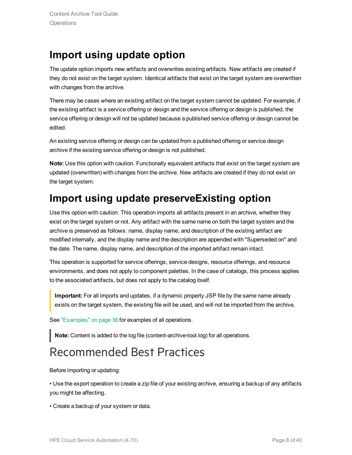### **Import using update option**

The update option imports new artifacts and overwrites existing artifacts. New artifacts are created if they do not exist on the target system. Identical artifacts that exist on the target system are overwritten with changes from the archive.

There may be cases where an existing artifact on the target system cannot be updated. For example, if the existing artifact is a service offering or design and the service offering or design is published, the service offering or design will not be updated because a published service offering or design cannot be edited.

An existing service offering or design can be updated from a published offering or service design archive if the existing service offering or design is not published.

**Note:** Use this option with caution. Functionally equivalent artifacts that exist on the target system are updated (overwritten) with changes from the archive. New artifacts are created if they do not exist on the target system.

### **Import using update preserveExisting option**

Use this option with caution. This operation imports all artifacts present in an archive, whether they exist on the target system or not. Any artifact with the same name on both the target system and the archive is preserved as follows: name, display name, and description of the existing artifact are modified internally, and the display name and the description are appended with "Superseded on" and the date. The name, display name, and description of the imported artifact remain intact.

This operation is supported for service offerings, service designs, resource offerings, and resource environments, and does not apply to component palettes. In the case of catalogs, this process applies to the associated artifacts, but does not apply to the catalog itself.

**Important:** For all imports and updates, if a dynamic property JSP file by the same name already exists on the target system, the existing file will be used, and will not be imported from the archive.

See ["Examples"](#page-35-0) on page 36 for examples of all operations.

<span id="page-7-0"></span>**Note:** Content is added to the log file (content-archive-tool.log) for all operations.

## Recommended Best Practices

Before importing or updating:

• Use the export operation to create a zip file of your existing archive, ensuring a backup of any artifacts you might be affecting.

• Create a backup of your system or data.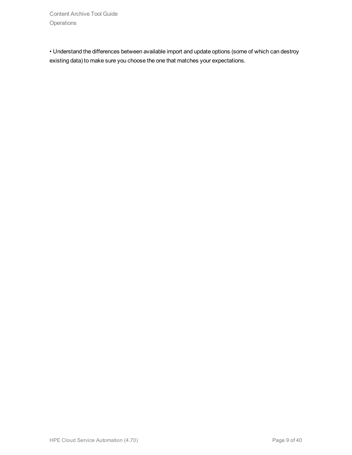Content Archive Tool Guide **Operations** 

• Understand the differences between available import and update options (some of which can destroy existing data) to make sure you choose the one that matches your expectations.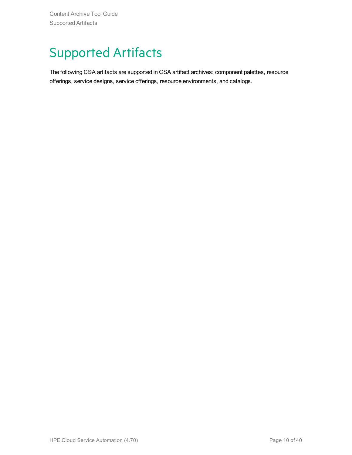# <span id="page-9-0"></span>Supported Artifacts

The following CSA artifacts are supported in CSA artifact archives: component palettes, resource offerings, service designs, service offerings, resource environments, and catalogs.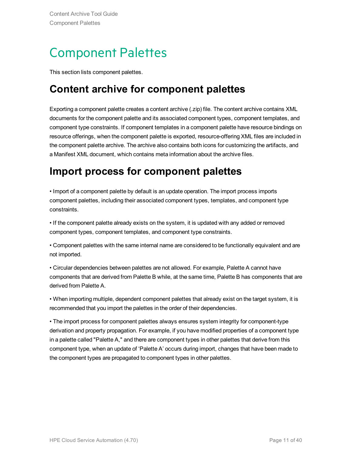## <span id="page-10-0"></span>Component Palettes

This section lists component palettes.

### **Content archive for component palettes**

Exporting a component palette creates a content archive (.zip) file. The content archive contains XML documents for the component palette and its associated component types, component templates, and component type constraints. If component templates in a component palette have resource bindings on resource offerings, when the component palette is exported, resource-offering XML files are included in the component palette archive. The archive also contains both icons for customizing the artifacts, and a Manifest XML document, which contains meta information about the archive files.

### **Import process for component palettes**

• Import of a component palette by default is an update operation. The import process imports component palettes, including their associated component types, templates, and component type constraints.

• If the component palette already exists on the system, it is updated with any added or removed component types, component templates, and component type constraints.

• Component palettes with the same internal name are considered to be functionally equivalent and are not imported.

• Circular dependencies between palettes are not allowed. For example, Palette A cannot have components that are derived from Palette B while, at the same time, Palette B has components that are derived from Palette A.

• When importing multiple, dependent component palettes that already exist on the target system, it is recommended that you import the palettes in the order of their dependencies.

• The import process for component palettes always ensures system integrity for component-type derivation and property propagation. For example, if you have modified properties of a component type in a palette called "Palette A," and there are component types in other palettes that derive from this component type, when an update of 'Palette A' occurs during import, changes that have been made to the component types are propagated to component types in other palettes.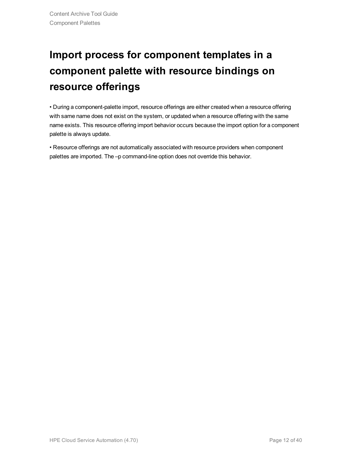## **Import process for component templates in a component palette with resource bindings on resource offerings**

• During a component-palette import, resource offerings are either created when a resource offering with same name does not exist on the system, or updated when a resource offering with the same name exists. This resource offering import behavior occurs because the import option for a component palette is always update.

• Resource offerings are not automatically associated with resource providers when component palettes are imported. The –p command-line option does not override this behavior.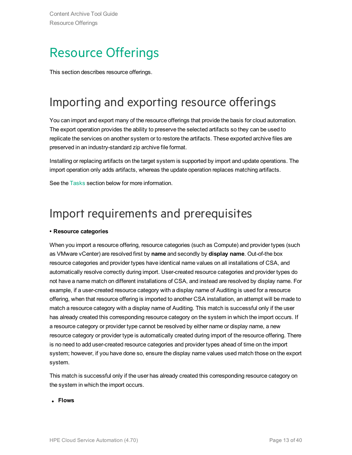Content Archive Tool Guide Resource Offerings

## <span id="page-12-0"></span>Resource Offerings

This section describes resource offerings.

## <span id="page-12-1"></span>Importing and exporting resource offerings

You can import and export many of the resource offerings that provide the basis for cloud automation. The export operation provides the ability to preserve the selected artifacts so they can be used to replicate the services on another system or to restore the artifacts. These exported archive files are preserved in an industry-standard zip archive file format.

Installing or replacing artifacts on the target system is supported by import and update operations. The import operation only adds artifacts, whereas the update operation replaces matching artifacts.

See the [Tasks](#page-16-0) section below for more information.

### <span id="page-12-2"></span>Import requirements and prerequisites

#### **• Resource categories**

When you import a resource offering, resource categories (such as Compute) and provider types (such as VMware vCenter) are resolved first by **name** and secondly by **display name**. Out-of-the box resource categories and provider types have identical name values on all installations of CSA, and automatically resolve correctly during import. User-created resource categories and provider types do not have a name match on different installations of CSA, and instead are resolved by display name. For example, if a user-created resource category with a display name of Auditing is used for a resource offering, when that resource offering is imported to another CSA installation, an attempt will be made to match a resource category with a display name of Auditing. This match is successful only if the user has already created this corresponding resource category on the system in which the import occurs. If a resource category or provider type cannot be resolved by either name or display name, a new resource category or provider type is automatically created during import of the resource offering. There is no need to add user-created resource categories and provider types ahead of time on the import system; however, if you have done so, ensure the display name values used match those on the export system.

This match is successful only if the user has already created this corresponding resource category on the system in which the import occurs.

<sup>l</sup> **Flows**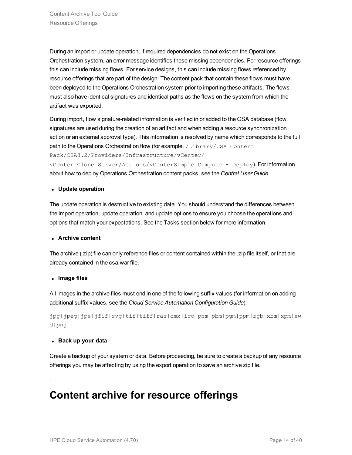During an import or update operation, if required dependencies do not exist on the Operations Orchestration system, an error message identifies these missing dependencies. For resource offerings this can include missing flows. For service designs, this can include missing flows referenced by resource offerings that are part of the design. The content pack that contain these flows must have been deployed to the Operations Orchestration system prior to importing these artifacts. The flows must also have identical signatures and identical paths as the flows on the system from which the artifact was exported.

During import, flow signature-related information is verified in or added to the CSA database (flow signatures are used during the creation of an artifact and when adding a resource synchronization action or an external approval type). This information is resolved by name which corresponds to the full path to the Operations Orchestration flow (for example, /Library/CSA Content Pack/CSA3.2/Providers/Infrastructure/vCenter/

vCenter Clone Server/Actions/vCenterSimple Compute - Deploy). For information about how to deploy Operations Orchestration content packs, see the *Central User Guide*.

#### <sup>l</sup> **Update operation**

The update operation is destructive to existing data. You should understand the differences between the import operation, update operation, and update options to ensure you choose the operations and options that match your expectations. See the Tasks section below for more information.

#### <sup>l</sup> **Archive content**

The archive (.zip) file can only reference files or content contained within the .zip file itself, or that are already contained in the csa.war file.

#### <sup>l</sup> **Image files**

All images in the archive files must end in one of the following suffix values (for information on adding additional suffix values, see the *Cloud Service Automation Configuration Guide*):

jpg|jpeg|jpe|jfif|svg|tif|tiff|ras|cmx|ico|pnm|pbm|pgm|ppm|rgb|xbm|xpm|xw d|png

#### <sup>l</sup> **Back up your data**

.

Create a backup of your system or data. Before proceeding, be sure to create a backup of any resource offerings you may be affecting by using the export operation to save an archive zip file.

### **Content archive for resource offerings**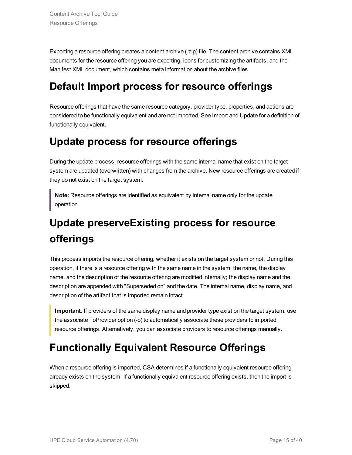Exporting a resource offering creates a content archive (.zip) file. The content archive contains XML documents for the resource offering you are exporting, icons for customizing the artifacts, and the Manifest XML document, which contains meta information about the archive files.

### **Default Import process for resource offerings**

Resource offerings that have the same resource category, provider type, properties, and actions are considered to be functionally equivalent and are not imported. See Import and Update for a definition of functionally equivalent.

### **Update process for resource offerings**

During the update process, resource offerings with the same internal name that exist on the target system are updated (overwritten) with changes from the archive. New resource offerings are created if they do not exist on the target system.

**Note:** Resource offerings are identified as equivalent by internal name only for the update operation.

## **Update preserveExisting process for resource offerings**

This process imports the resource offering, whether it exists on the target system or not. During this operation, if there is a resource offering with the same name in the system, the name, the display name, and the description of the resource offering are modified internally; the display name and the description are appended with "Superseded on" and the date. The internal name, display name, and description of the artifact that is imported remain intact.

**Important**: If providers of the same display name and provider type exist on the target system, use the associate ToProvider option (-p) to automatically associate these providers to imported resource offerings. Alternatively, you can associate providers to resource offerings manually.

## **Functionally Equivalent Resource Offerings**

When a resource offering is imported, CSA determines if a functionally equivalent resource offering already exists on the system. If a functionally equivalent resource offering exists, then the import is skipped.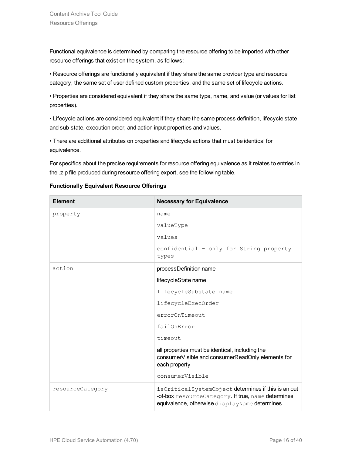Functional equivalence is determined by comparing the resource offering to be imported with other resource offerings that exist on the system, as follows:

• Resource offerings are functionally equivalent if they share the same provider type and resource category, the same set of user defined custom properties, and the same set of lifecycle actions.

• Properties are considered equivalent if they share the same type, name, and value (or values for list properties).

• Lifecycle actions are considered equivalent if they share the same process definition, lifecycle state and sub-state, execution order, and action input properties and values.

• There are additional attributes on properties and lifecycle actions that must be identical for equivalence.

For specifics about the precise requirements for resource offering equivalence as it relates to entries in the .zip file produced during resource offering export, see the following table.

| <b>Element</b>   | <b>Necessary for Equivalence</b>                                                                                                                           |
|------------------|------------------------------------------------------------------------------------------------------------------------------------------------------------|
| property         | name                                                                                                                                                       |
|                  | valueType                                                                                                                                                  |
|                  | values                                                                                                                                                     |
|                  | confidential - only for String property<br>types                                                                                                           |
| action           | processDefinition name                                                                                                                                     |
|                  | lifecycleState name                                                                                                                                        |
|                  | lifecycleSubstate name                                                                                                                                     |
|                  | lifecycleExecOrder                                                                                                                                         |
|                  | errorOnTimeout                                                                                                                                             |
|                  | failOnError                                                                                                                                                |
|                  | timeout                                                                                                                                                    |
|                  | all properties must be identical, including the<br>consumerVisible and consumerReadOnly elements for<br>each property                                      |
|                  | consumerVisible                                                                                                                                            |
| resourceCategory | isCriticalSystemObject determines if this is an out<br>-of-box resourceCategory. If true, name determines<br>equivalence, otherwise displayName determines |

**Functionally Equivalent Resource Offerings**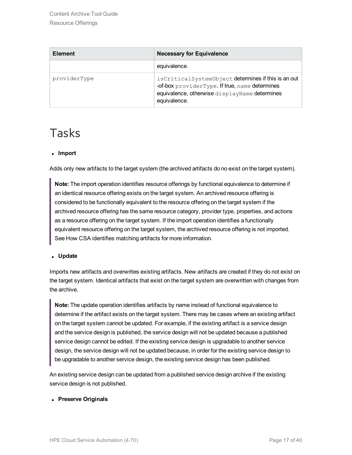| <b>Element</b> | <b>Necessary for Equivalence</b>                                                                                                                                       |
|----------------|------------------------------------------------------------------------------------------------------------------------------------------------------------------------|
|                | equivalence.                                                                                                                                                           |
| providerType   | isCriticalSystemObject determines if this is an out<br>-of-box providerType. If true, name determines<br>equivalence, otherwise displayName determines<br>equivalence. |

## <span id="page-16-0"></span>Tasks

#### <sup>l</sup> **Import**

Adds only new artifacts to the target system (the archived artifacts do no exist on the target system).

**Note:** The import operation identifies resource offerings by functional equivalence to determine if an identical resource offering exists on the target system. An archived resource offering is considered to be functionally equivalent to the resource offering on the target system if the archived resource offering has the same resource category, provider type, properties, and actions as a resource offering on the target system. If the import operation identifies a functionally equivalent resource offering on the target system, the archived resource offering is not imported. See How CSA identifies matching artifacts for more information.

#### <sup>l</sup> **Update**

Imports new artifacts and overwrites existing artifacts. New artifacts are created if they do not exist on the target system. Identical artifacts that exist on the target system are overwritten with changes from the archive.

**Note:** The update operation identifies artifacts by name instead of functional equivalence to determine if the artifact exists on the target system. There may be cases where an existing artifact on the target system cannot be updated. For example, if the existing artifact is a service design and the service design is published, the service design will not be updated because a published service design cannot be edited. If the existing service design is upgradable to another service design, the service design will not be updated because, in order for the existing service design to be upgradable to another service design, the existing service design has been published.

An existing service design can be updated from a published service design archive if the existing service design is not published.

#### <sup>l</sup> **Preserve Originals**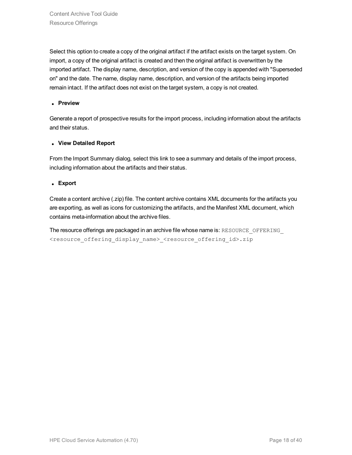Select this option to create a copy of the original artifact if the artifact exists on the target system. On import, a copy of the original artifact is created and then the original artifact is overwritten by the imported artifact. The display name, description, and version of the copy is appended with "Superseded on" and the date. The name, display name, description, and version of the artifacts being imported remain intact. If the artifact does not exist on the target system, a copy is not created.

#### **•** Preview

Generate a report of prospective results for the import process, including information about the artifacts and their status.

#### <sup>l</sup> **View Detailed Report**

From the Import Summary dialog, select this link to see a summary and details of the import process, including information about the artifacts and their status.

#### • Export

Create a content archive (.zip) file. The content archive contains XML documents for the artifacts you are exporting, as well as icons for customizing the artifacts, and the Manifest XML document, which contains meta-information about the archive files.

The resource offerings are packaged in an archive file whose name is: RESOURCE OFFERING <resource offering display name> <resource offering id>.zip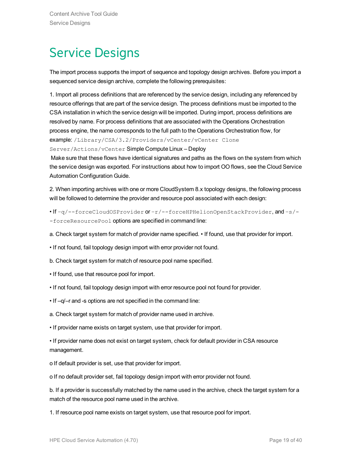# <span id="page-18-0"></span>Service Designs

The import process supports the import of sequence and topology design archives. Before you import a sequenced service design archive, complete the following prerequisites:

1. Import all process definitions that are referenced by the service design, including any referenced by resource offerings that are part of the service design. The process definitions must be imported to the CSA installation in which the service design will be imported. During import, process definitions are resolved by name. For process definitions that are associated with the Operations Orchestration process engine, the name corresponds to the full path to the Operations Orchestration flow, for example: /Library/CSA/3.2/Providers/vCenter/vCenter Clone

Server/Actions/vCenter Simple Compute Linux – Deploy

Make sure that these flows have identical signatures and paths as the flows on the system from which the service design was exported. For instructions about how to import OO flows, see the Cloud Service Automation Configuration Guide.

2. When importing archives with one or more CloudSystem 8.x topology designs, the following process will be followed to determine the provider and resource pool associated with each design:

• If –q/--forceCloudOSProvider or –r/--forceHPHelionOpenStackProvider, and –s/- -forceResourcePool options are specified in command line:

a. Check target system for match of provider name specified. • If found, use that provider for import.

• If not found, fail topology design import with error provider not found.

- b. Check target system for match of resource pool name specified.
- If found, use that resource pool for import.
- If not found, fail topology design import with error resource pool not found for provider.
- If –q/–r and -s options are not specified in the command line:
- a. Check target system for match of provider name used in archive.
- If provider name exists on target system, use that provider for import.

• If provider name does not exist on target system, check for default provider in CSA resource management.

o If default provider is set, use that provider for import.

o If no default provider set, fail topology design import with error provider not found.

b. If a provider is successfully matched by the name used in the archive, check the target system for a match of the resource pool name used in the archive.

1. If resource pool name exists on target system, use that resource pool for import.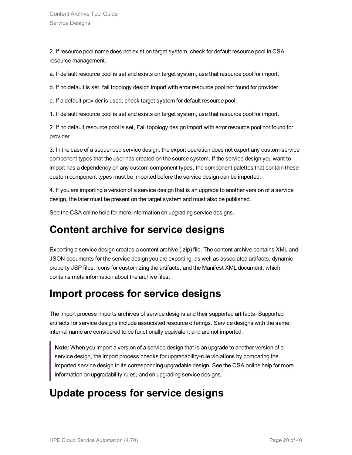2. If resource pool name does not exist on target system, check for default resource pool in CSA resource management.

a. If default resource pool is set and exists on target system, use that resource pool for import.

b. If no default is set, fail topology design import with error resource pool not found for provider.

c. If a default provider is used, check target system for default resource pool.

1. If default resource pool is set and exists on target system, use that resource pool for import.

2. If no default resource pool is set, Fail topology design import with error resource pool not found for provider.

3. In the case of a sequenced service design, the export operation does not export any custom-service component types that the user has created on the source system. If the service design you want to import has a dependency on any custom component types, the component palettes that contain these custom component types must be imported before the service design can be imported.

4. If you are importing a version of a service design that is an upgrade to another version of a service design, the later must be present on the target system and must also be published.

See the CSA online help for more information on upgrading service designs.

### **Content archive for service designs**

Exporting a service design creates a content archive (.zip) file. The content archive contains XML and JSON documents for the service design you are exporting, as well as associated artifacts, dynamic property JSP files, icons for customizing the artifacts, and the Manifest XML document, which contains meta information about the archive files.

### **Import process for service designs**

The import process imports archives of service designs and their supported artifacts. Supported artifacts for service designs include associated resource offerings. Service designs with the same internal name are considered to be functionally equivalent and are not imported.

**Note:** When you import a version of a service design that is an upgrade to another version of a service design, the import process checks for upgradability-rule violations by comparing the imported service design to its corresponding upgradable design. See the CSA online help for more information on upgradability rules, and on upgrading service designs.

### **Update process for service designs**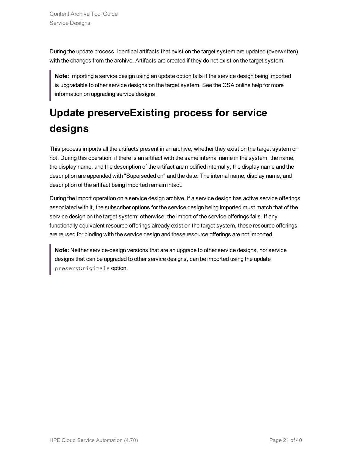During the update process, identical artifacts that exist on the target system are updated (overwritten) with the changes from the archive. Artifacts are created if they do not exist on the target system.

**Note:** Importing a service design using an update option fails if the service design being imported is upgradable to other service designs on the target system. See the CSA online help for more information on upgrading service designs.

## **Update preserveExisting process for service designs**

This process imports all the artifacts present in an archive, whether they exist on the target system or not. During this operation, if there is an artifact with the same internal name in the system, the name, the display name, and the description of the artifact are modified internally; the display name and the description are appended with "Superseded on" and the date. The internal name, display name, and description of the artifact being imported remain intact.

During the import operation on a service design archive, if a service design has active service offerings associated with it, the subscriber options for the service design being imported must match that of the service design on the target system; otherwise, the import of the service offerings fails. If any functionally equivalent resource offerings already exist on the target system, these resource offerings are reused for binding with the service design and these resource offerings are not imported.

**Note:** Neither service-design versions that are an upgrade to other service designs, nor service designs that can be upgraded to other service designs, can be imported using the update preservOriginals option.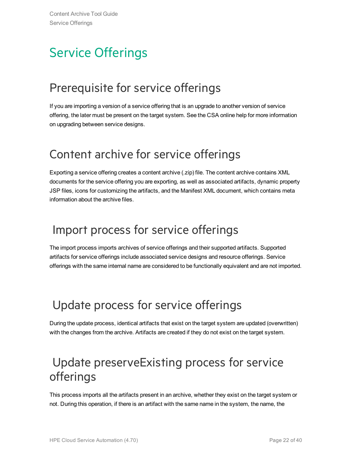# <span id="page-21-0"></span>Service Offerings

## <span id="page-21-1"></span>Prerequisite for service offerings

If you are importing a version of a service offering that is an upgrade to another version of service offering, the later must be present on the target system. See the CSA online help for more information on upgrading between service designs.

## <span id="page-21-2"></span>Content archive for service offerings

Exporting a service offering creates a content archive (.zip) file. The content archive contains XML documents for the service offering you are exporting, as well as associated artifacts, dynamic property JSP files, icons for customizing the artifacts, and the Manifest XML document, which contains meta information about the archive files.

## <span id="page-21-3"></span>Import process for service offerings

The import process imports archives of service offerings and their supported artifacts. Supported artifacts for service offerings include associated service designs and resource offerings. Service offerings with the same internal name are considered to be functionally equivalent and are not imported.

## <span id="page-21-4"></span>Update process for service offerings

During the update process, identical artifacts that exist on the target system are updated (overwritten) with the changes from the archive. Artifacts are created if they do not exist on the target system.

## <span id="page-21-5"></span>Update preserveExisting process for service offerings

This process imports all the artifacts present in an archive, whether they exist on the target system or not. During this operation, if there is an artifact with the same name in the system, the name, the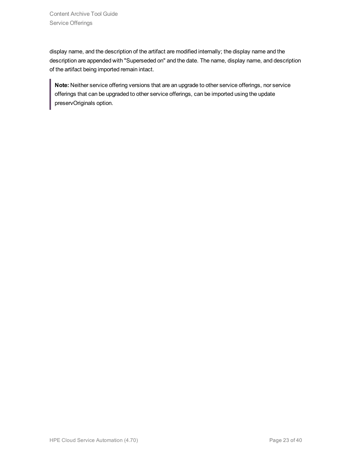display name, and the description of the artifact are modified internally; the display name and the description are appended with "Superseded on" and the date. The name, display name, and description of the artifact being imported remain intact.

**Note:** Neither service offering versions that are an upgrade to other service offerings, nor service offerings that can be upgraded to other service offerings, can be imported using the update preservOriginals option.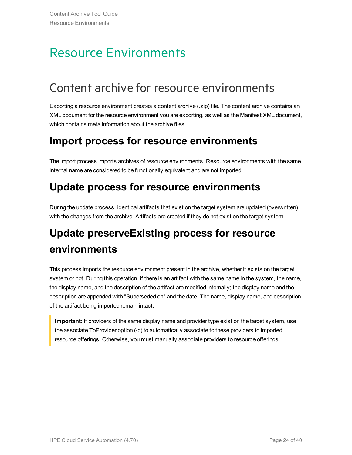# <span id="page-23-0"></span>Resource Environments

## <span id="page-23-1"></span>Content archive for resource environments

Exporting a resource environment creates a content archive (.zip) file. The content archive contains an XML document for the resource environment you are exporting, as well as the Manifest XML document, which contains meta information about the archive files.

### **Import process for resource environments**

The import process imports archives of resource environments. Resource environments with the same internal name are considered to be functionally equivalent and are not imported.

### **Update process for resource environments**

During the update process, identical artifacts that exist on the target system are updated (overwritten) with the changes from the archive. Artifacts are created if they do not exist on the target system.

## **Update preserveExisting process for resource environments**

This process imports the resource environment present in the archive, whether it exists on the target system or not. During this operation, if there is an artifact with the same name in the system, the name, the display name, and the description of the artifact are modified internally; the display name and the description are appended with "Superseded on" and the date. The name, display name, and description of the artifact being imported remain intact.

**Important:** If providers of the same display name and provider type exist on the target system, use the associate ToProvider option (-p) to automatically associate to these providers to imported resource offerings. Otherwise, you must manually associate providers to resource offerings.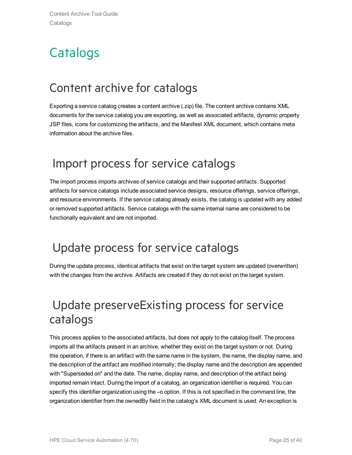# <span id="page-24-0"></span>Catalogs

## <span id="page-24-1"></span>Content archive for catalogs

Exporting a service catalog creates a content archive (.zip) file. The content archive contains XML documents for the service catalog you are exporting, as well as associated artifacts, dynamic property JSP files, icons for customizing the artifacts, and the Manifest XML document, which contains meta information about the archive files.

## <span id="page-24-2"></span>Import process for service catalogs

The import process imports archives of service catalogs and their supported artifacts. Supported artifacts for service catalogs include associated service designs, resource offerings, service offerings, and resource environments. If the service catalog already exists, the catalog is updated with any added or removed supported artifacts. Service catalogs with the same internal name are considered to be functionally equivalent and are not imported.

## <span id="page-24-3"></span>Update process for service catalogs

During the update process, identical artifacts that exist on the target system are updated (overwritten) with the changes from the archive. Artifacts are created if they do not exist on the target system.

## <span id="page-24-4"></span>Update preserveExisting process for service catalogs

This process applies to the associated artifacts, but does not apply to the catalog itself. The process imports all the artifacts present in an archive, whether they exist on the target system or not. During this operation, if there is an artifact with the same name in the system, the name, the display name, and the description of the artifact are modified internally; the display name and the description are appended with "Superseded on" and the date. The name, display name, and description of the artifact being imported remain intact. During the import of a catalog, an organization identifier is required. You can specify this identifier organization using the –o option. If this is not specified in the command line, the organization identifier from the ownedBy field in the catalog's XML document is used. An exception is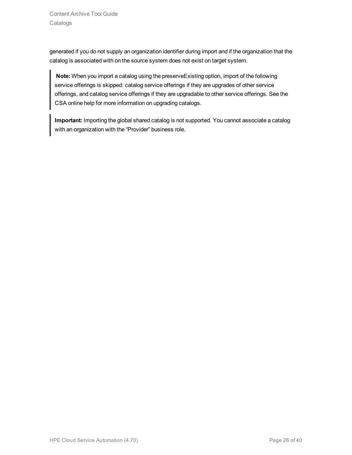generated if you do not supply an organization identifier during import and if the organization that the catalog is associated with on the source system does not exist on target system.

**Note:** When you import a catalog using the preserveExisting option, import of the following service offerings is skipped: catalog service offerings if they are upgrades of other service offerings, and catalog service offerings if they are upgradable to other service offerings. See the CSA online help for more information on upgrading catalogs.

**Important:** Importing the global shared catalog is not supported. You cannot associate a catalog with an organization with the "Provider" business role.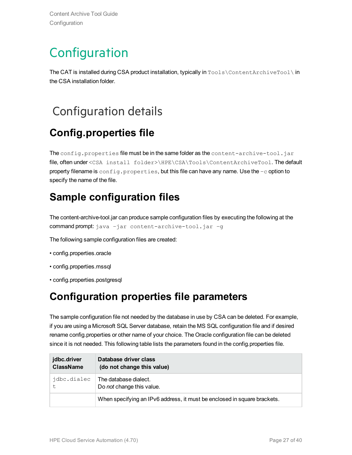# <span id="page-26-0"></span>**Configuration**

The CAT is installed during CSA product installation, typically in Tools\ContentArchiveTool\ in the CSA installation folder.

# <span id="page-26-1"></span>Configuration details

## **Config.properties file**

The config.properties file must be in the same folder as the content-archive-tool.jar file, often under <CSA install folder>\HPE\CSA\Tools\ContentArchiveTool. The default property filename is  $\text{config}.\text{properties}$ , but this file can have any name. Use the  $-c$  option to specify the name of the file.

## **Sample configuration files**

The content-archive-tool.jar can produce sample configuration files by executing the following at the command prompt: java –jar content-archive-tool.jar –g

The following sample configuration files are created:

- config.properties.oracle
- config.properties.mssql
- config.properties.postgresql

### **Configuration properties file parameters**

The sample configuration file not needed by the database in use by CSA can be deleted. For example, if you are using a Microsoft SQL Server database, retain the MS SQL configuration file and if desired rename config.properties or other name of your choice. The Oracle configuration file can be deleted since it is not needed. This following table lists the parameters found in the config.properties file.

| jdbc.driver      | Database driver class                                                    |
|------------------|--------------------------------------------------------------------------|
| <b>ClassName</b> | (do not change this value)                                               |
| jdbc.dialec      | The database dialect.                                                    |
| t                | Do not change this value.                                                |
|                  | When specifying an IPv6 address, it must be enclosed in square brackets. |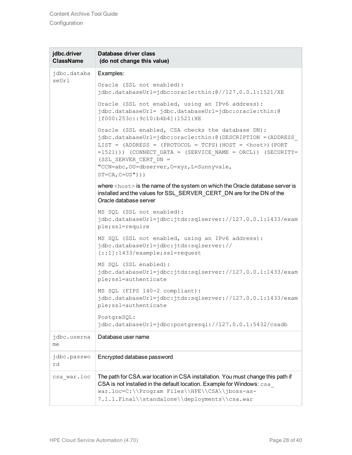| jdbc.driver<br><b>ClassName</b> | Database driver class<br>(do not change this value)                                                                                                                                                                                                                                                                                                                |  |
|---------------------------------|--------------------------------------------------------------------------------------------------------------------------------------------------------------------------------------------------------------------------------------------------------------------------------------------------------------------------------------------------------------------|--|
| jdbc.databa<br>seUrl            | Examples:                                                                                                                                                                                                                                                                                                                                                          |  |
|                                 | Oracle (SSL not enabled) :<br>jdbc.databaseUrl=jdbc:oracle:thin:@//127.0.0.1:1521/XE                                                                                                                                                                                                                                                                               |  |
|                                 | Oracle (SSL not enabled, using an IPv6 address):<br>jdbc.databaseUrl= jdbc.databaseUrl=jdbc:oracle:thin:@<br>[f000:253c::9c10:b4b4]:1521:XE                                                                                                                                                                                                                        |  |
|                                 | Oracle (SSL enabled, CSA checks the database DN):<br>$jdbc.databasesUrl=jdbc:oracle:thin:\n@(DESCRIPTION = (ADDRESS)$<br>LIST = (ADDRESS = (PROTOCOL = TCPS) (HOST = $\langle host \rangle$ ) (PORT<br>$=1521)$ )) (CONNECT DATA = (SERVICE NAME = ORCL)) (SECURITY=<br>(SSL SERVER CERT DN =<br>"CCN=abc, OU=dbserver, O=xyz, L=Sunnyvale,<br>$ST=CA, C=US'')$ )) |  |
|                                 | where $\langle$ host> is the name of the system on which the Oracle database server is<br>installed and the values for SSL_SERVER_CERT_DN are for the DN of the<br>Oracle database server                                                                                                                                                                          |  |
|                                 | MS SQL (SSL not enabled):<br>jdbc.databaseUrl=jdbc:jtds:sqlserver://127.0.0.1:1433/exam<br>ple; ssl=require                                                                                                                                                                                                                                                        |  |
|                                 | MS SQL (SSL not enabled, using an IPv6 address):<br>jdbc.databaseUrl=jdbc:jtds:sqlserver://<br>$[::1]:1433/e$ xample; ssl=request                                                                                                                                                                                                                                  |  |
|                                 | MS SQL (SSL enabled):<br>jdbc.databaseUrl=jdbc:jtds:sqlserver://127.0.0.1:1433/exam<br>ple; ssl=authenticate                                                                                                                                                                                                                                                       |  |
|                                 | MS SQL (FIPS 140-2 compliant):<br>jdbc.databaseUrl=jdbc:jtds:sqlserver://127.0.0.1:1433/exam<br>ple; ssl=authenticate                                                                                                                                                                                                                                              |  |
|                                 | PostgreSQL:<br>jdbc.databaseUrl=jdbc:postgresql://127.0.0.1:5432/csadb                                                                                                                                                                                                                                                                                             |  |
| jdbc.userna<br>me               | Database user name                                                                                                                                                                                                                                                                                                                                                 |  |
| jdbc.passwo<br>rd               | Encrypted database password                                                                                                                                                                                                                                                                                                                                        |  |
| csa war.loc                     | The path for CSA. war location in CSA installation. You must change this path if<br>CSA is not installed in the default location. Example for Windows: csa<br>war.loc=C:\\Program Files\\HPE\\CSA\\jboss-as-<br>7.1.1. Final\\standalone\\deployments\\csa.war                                                                                                     |  |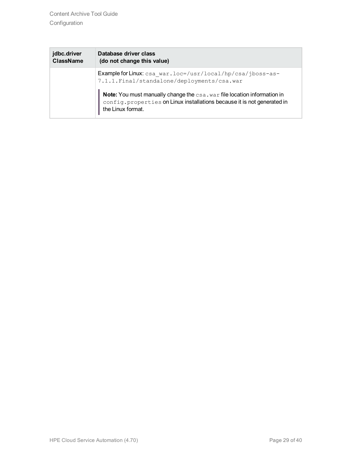| jdbc.driver<br><b>ClassName</b> | Database driver class<br>(do not change this value)<br>Example for Linux: csa_war.loc=/usr/local/hp/csa/jboss-as-<br>7.1.1. Final/standalone/deployments/csa.war        |  |
|---------------------------------|-------------------------------------------------------------------------------------------------------------------------------------------------------------------------|--|
|                                 |                                                                                                                                                                         |  |
|                                 | Note: You must manually change the csa.war file location information in<br>config.properties on Linux installations because it is not generated in<br>the Linux format. |  |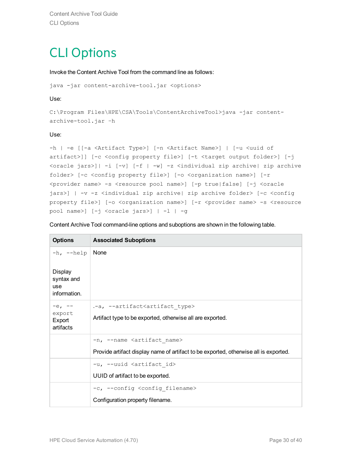Content Archive Tool Guide CLI Options

# <span id="page-29-0"></span>CLI Options

Invoke the Content Archive Tool from the command line as follows:

```
java -jar content-archive-tool.jar <options>
```
Use:

```
C:\Program Files\HPE\CSA\Tools\ContentArchiveTool>java -jar content-
archive-tool.jar –h
```
#### Use:

```
-h | -e [[-a <Artifact Type>] [-n <Artifact Name>] | [-u <uuid of
artifact>]] [-c <config property file>] [-t <target output folder>] [-j
<oracle jars>]| -i [-v] [-f | -w] -z <individual zip archive| zip archive
folder> [-c <config property file>] [-o <organization name>] [-r
<provider name> -s <resource pool name>] [-p true|false] [-j <oracle
jars>] | -v -z <individual zip archive| zip archive folder> [-c <config
property file>] [-o <organization name>] [-r <provider name> -s <resource
pool name>] [-j <oracle jars>] | -l | -g
```

| <b>Options</b>                               | <b>Associated Suboptions</b>                                                                                |
|----------------------------------------------|-------------------------------------------------------------------------------------------------------------|
| $-h, -h$ elp                                 | None                                                                                                        |
| Display<br>syntax and<br>use<br>information. |                                                                                                             |
| $-e, - -$<br>export<br>Export<br>artifacts   | .-a, --artifact <artifact type=""><br/>Artifact type to be exported, otherwise all are exported.</artifact> |
|                                              | -n, --name <artifact name=""></artifact>                                                                    |
|                                              | Provide artifact display name of artifact to be exported, otherwise all is exported.                        |
|                                              | -u, --uuid <artifact id=""></artifact>                                                                      |
|                                              | UUID of artifact to be exported.                                                                            |
|                                              | -c, --config <config filename=""></config>                                                                  |
|                                              | Configuration property filename.                                                                            |

Content Archive Tool command-line options and suboptions are shown in the following table.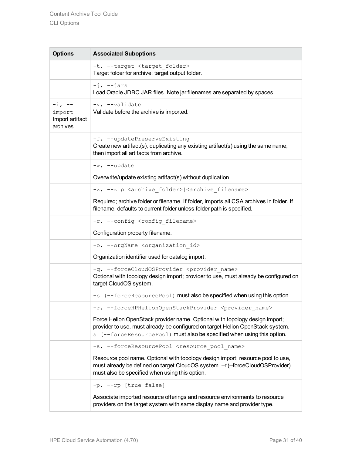| <b>Options</b>                                     | <b>Associated Suboptions</b>                                                                                                                                                                                                                 |  |
|----------------------------------------------------|----------------------------------------------------------------------------------------------------------------------------------------------------------------------------------------------------------------------------------------------|--|
|                                                    | -t, --target <target folder=""><br/>Target folder for archive; target output folder.</target>                                                                                                                                                |  |
|                                                    | $-j$ , $-j$ ars<br>Load Oracle JDBC JAR files. Note jar filenames are separated by spaces.                                                                                                                                                   |  |
| $-i, --$<br>import<br>Import artifact<br>archives. | -v, --validate<br>Validate before the archive is imported.                                                                                                                                                                                   |  |
|                                                    | -f, --updatePreserveExisting<br>Create new artifact(s), duplicating any existing artifact(s) using the same name;<br>then import all artifacts from archive.                                                                                 |  |
|                                                    | -w, --update                                                                                                                                                                                                                                 |  |
|                                                    | Overwrite/update existing artifact(s) without duplication.                                                                                                                                                                                   |  |
|                                                    | -z, --zip <archive folder=""> <archive filename=""></archive></archive>                                                                                                                                                                      |  |
|                                                    | Required; archive folder or filename. If folder, imports all CSA archives in folder. If<br>filename, defaults to current folder unless folder path is specified.                                                                             |  |
|                                                    | -c, --config <config filename=""></config>                                                                                                                                                                                                   |  |
|                                                    | Configuration property filename.                                                                                                                                                                                                             |  |
|                                                    | -o, --orgName <organization id=""></organization>                                                                                                                                                                                            |  |
|                                                    | Organization identifier used for catalog import.                                                                                                                                                                                             |  |
|                                                    | -q, --forceCloudOSProvider <provider name=""><br/>Optional with topology design import; provider to use, must already be configured on<br/>target CloudOS system.</provider>                                                                 |  |
|                                                    | -s (--forceResourcePool) must also be specified when using this option.                                                                                                                                                                      |  |
|                                                    | -r, --forceHPHelionOpenStackProvider <provider name=""></provider>                                                                                                                                                                           |  |
|                                                    | Force Helion OpenStack provider name. Optional with topology design import;<br>provider to use, must already be configured on target Helion OpenStack system. -<br>(--forceResourcePool) must also be specified when using this option.<br>S |  |
|                                                    | -s, --forceResourcePool <resource name="" pool=""></resource>                                                                                                                                                                                |  |
|                                                    | Resource pool name. Optional with topology design import; resource pool to use,<br>must already be defined on target CloudOS system. - r (--forceCloudOSProvider)<br>must also be specified when using this option.                          |  |
|                                                    | -p, --rp [true false]                                                                                                                                                                                                                        |  |
|                                                    | Associate imported resource offerings and resource environments to resource<br>providers on the target system with same display name and provider type.                                                                                      |  |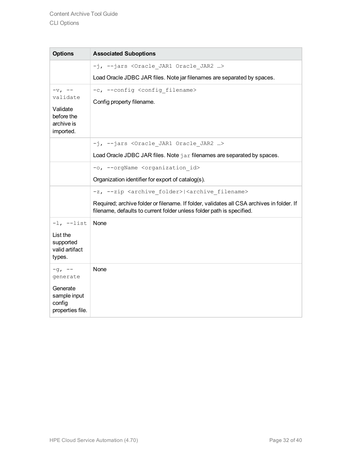| <b>Options</b>                                                                 | <b>Associated Suboptions</b>                                                                                                                                       |  |  |
|--------------------------------------------------------------------------------|--------------------------------------------------------------------------------------------------------------------------------------------------------------------|--|--|
|                                                                                | -j, --jars <oracle jar1="" jar2="" oracle=""></oracle>                                                                                                             |  |  |
|                                                                                | Load Oracle JDBC JAR files. Note jar filenames are separated by spaces.                                                                                            |  |  |
| $-v, --$<br>validate<br>Validate<br>before the<br>archive is<br>imported.      | -c, --config <config filename=""><br/>Config property filename.</config>                                                                                           |  |  |
|                                                                                | -j, --jars <oracle jar1="" jar2="" oracle=""></oracle>                                                                                                             |  |  |
|                                                                                | Load Oracle JDBC JAR files. Note jar filenames are separated by spaces.                                                                                            |  |  |
|                                                                                | -o, --orgName <organization id=""></organization>                                                                                                                  |  |  |
|                                                                                | Organization identifier for export of catalog(s).                                                                                                                  |  |  |
|                                                                                | -z, --zip <archive folder=""> <archive filename=""></archive></archive>                                                                                            |  |  |
|                                                                                | Required; archive folder or filename. If folder, validates all CSA archives in folder. If<br>filename, defaults to current folder unless folder path is specified. |  |  |
| $-1, -1$ ist                                                                   | None                                                                                                                                                               |  |  |
| List the<br>supported<br>valid artifact<br>types.                              |                                                                                                                                                                    |  |  |
| $-g, --$<br>generate<br>Generate<br>sample input<br>config<br>properties file. | None                                                                                                                                                               |  |  |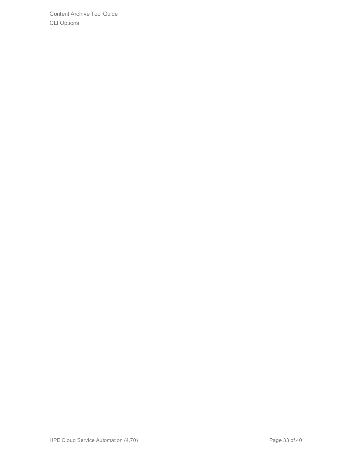Content Archive Tool Guide CLI Options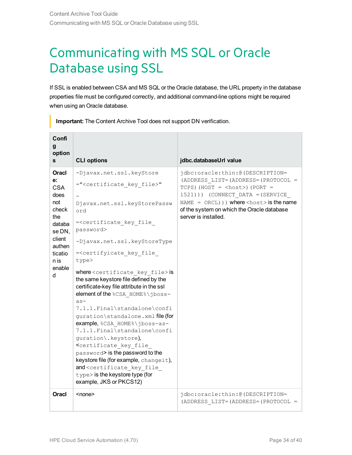# <span id="page-33-0"></span>Communicating with MS SQL or Oracle Database using SSL

If SSL is enabled between CSA and MS SQL or the Oracle database, the URL property in the database properties file must be configured correctly, and additional command-line options might be required when using an Oracle database.

| Confi<br>g<br>option<br>s                                                                                                          | <b>CLI options</b>                                                                                                                                                                                                                                                                                                                                                                                                                                                                                                                                                                                                                                                                                                                                                                                                                                                                                                                 | jdbc.databaseUrl value                                                                                                                                                                                                                                                                                                   |
|------------------------------------------------------------------------------------------------------------------------------------|------------------------------------------------------------------------------------------------------------------------------------------------------------------------------------------------------------------------------------------------------------------------------------------------------------------------------------------------------------------------------------------------------------------------------------------------------------------------------------------------------------------------------------------------------------------------------------------------------------------------------------------------------------------------------------------------------------------------------------------------------------------------------------------------------------------------------------------------------------------------------------------------------------------------------------|--------------------------------------------------------------------------------------------------------------------------------------------------------------------------------------------------------------------------------------------------------------------------------------------------------------------------|
| Oracl<br>e:<br><b>CSA</b><br>does<br>not<br>check<br>the<br>databa<br>se DN.<br>client<br>authen<br>ticatio<br>n is<br>enable<br>d | -Djavax.net.ssl.keyStore<br>=" <certificate file="" key="">"<br/>Djavax.net.ssl.keyStorePassw<br/>ord<br/>=<certificate_key_file_<br>password&gt;<br/>-Djavax.net.ssl.keyStoreType<br/>=<certifyicate file<br="" key="">type&gt;<br/>where <certificate file="" key=""> is<br/>the same keystore file defined by the<br/>certificate-key file attribute in the ssl<br/>element of the %CSA HOME%\jboss-<br/><math>as-</math><br/>7.1.1. Final\standalone\confi<br/>guration\standalone.xml file (for<br/>example, &amp;CSA HOME&amp;\jboss-as-<br/>7.1.1. Final\standalone\confi<br/>guration\.keystore),<br/><certificate file<br="" key="">password&gt; is the password to the<br/>keystore file (for example, changeit),<br/>and<certificate file<br="" key="">type&gt; is the keystore type (for<br/>example, JKS or PKCS12)</certificate></certificate></certificate></certifyicate></certificate_key_file_<br></certificate> | jdbc:oracle:thin:@(DESCRIPTION=<br>$(ADDRESS \; LIST = (ADDRESS = (PROTOCOL =$<br>$TCPS)$ (HOST = <host>) (PORT =<br/>1521))) (CONNECT DATA = (SERVICE<br/>NAME = <math>ORCL)</math>) where <math>\langle host \rangle</math> is the name<br/>of the system on which the Oracle database<br/>server is installed.</host> |
| Oracl                                                                                                                              | <none></none>                                                                                                                                                                                                                                                                                                                                                                                                                                                                                                                                                                                                                                                                                                                                                                                                                                                                                                                      | jdbc:oracle:thin:@(DESCRIPTION=<br>(ADDRESS LIST=(ADDRESS=(PROTOCOL =                                                                                                                                                                                                                                                    |

**Important:** The Content Archive Tool does not support DN verification.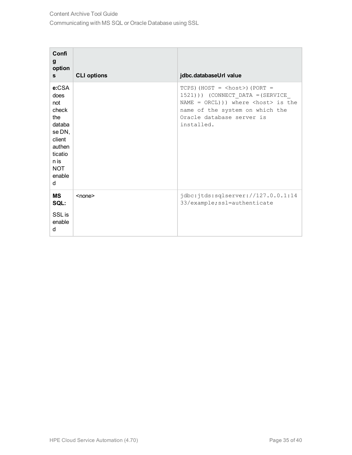| Confi<br>g<br>option<br>S                                                                                                    | <b>CLI options</b> | jdbc.databaseUrl value                                                                                                                                                                                               |
|------------------------------------------------------------------------------------------------------------------------------|--------------------|----------------------------------------------------------------------------------------------------------------------------------------------------------------------------------------------------------------------|
| e:CSA<br>does<br>not<br>check<br>the<br>databa<br>se DN,<br>client<br>authen<br>ticatio<br>n is<br><b>NOT</b><br>enable<br>d |                    | $TCPS)$ (HOST = $\langle \text{host} \rangle$ ) (PORT =<br>1521))) (CONNECT DATA = (SERVICE<br>NAME = $ORCL)$ ) where $<$ host> is the<br>name of the system on which the<br>Oracle database server is<br>installed. |
| <b>MS</b><br>SQL:<br><b>SSL is</b><br>enable<br>d                                                                            | $none$             | jdbc:jtds:sqlserver://127.0.0.1:14<br>33/example; ssl=authenticate                                                                                                                                                   |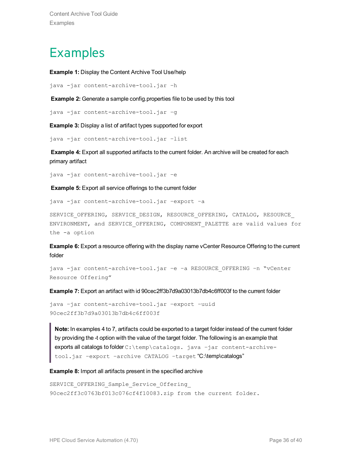## <span id="page-35-0"></span>Examples

**Example 1:** Display the Content Archive Tool Use/help

java -jar content-archive-tool.jar –h

**Example 2:** Generate a sample config.properties file to be used by this tool

java -jar content-archive-tool.jar –g

**Example 3:** Display a list of artifact types supported for export

java -jar content-archive-tool.jar –list

**Example 4:** Export all supported artifacts to the current folder. An archive will be created for each primary artifact

java -jar content-archive-tool.jar –e

**Example 5:** Export all service offerings to the current folder

java -jar content-archive-tool.jar –export –a

SERVICE OFFERING, SERVICE DESIGN, RESOURCE OFFERING, CATALOG, RESOURCE ENVIRONMENT, and SERVICE\_OFFERING, COMPONENT\_PALETTE are valid values for the -a option

**Example 6:** Export a resource offering with the display name vCenter Resource Offering to the current folder

java -jar content-archive-tool.jar –e –a RESOURCE\_OFFERING –n "vCenter Resource Offering"

**Example 7:** Export an artifact with id 90cec2ff3b7d9a03013b7db4c6ff003f to the current folder

```
java –jar content-archive-tool.jar –export –uuid
90cec2ff3b7d9a03013b7db4c6ff003f
```
**Note:** In examples 4 to 7, artifacts could be exported to a target folder instead of the current folder by providing the -t option with the value of the target folder. The following is an example that exports all catalogs to folder C:\temp\catalogs. java –jar content-archivetool.jar –export –archive CATALOG –target "C:\temp\catalogs"

**Example 8:** Import all artifacts present in the specified archive

SERVICE\_OFFERING\_Sample\_Service\_Offering\_ 90cec2ff3c0763bf013c076cf4f10083.zip from the current folder.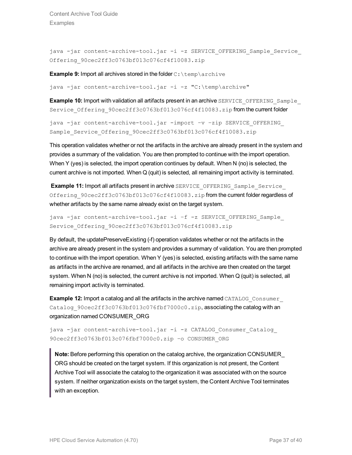java -jar content-archive-tool.jar -i -z SERVICE OFFERING Sample Service Offering\_90cec2ff3c0763bf013c076cf4f10083.zip

**Example 9:** Import all archives stored in the folder C: \temp\archive

java -jar content-archive-tool.jar -i -z "C:\temp\archive"

**Example 10:** Import with validation all artifacts present in an archive SERVICE\_OFFERING\_Sample Service Offering 90cec2ff3c0763bf013c076cf4f10083.zip from the current folder

java -jar content-archive-tool.jar -import –v –zip SERVICE\_OFFERING\_ Sample Service Offering 90cec2ff3c0763bf013c076cf4f10083.zip

This operation validates whether or not the artifacts in the archive are already present in the system and provides a summary of the validation. You are then prompted to continue with the import operation. When Y (yes) is selected, the import operation continues by default. When N (no) is selected, the current archive is not imported. When Q (quit) is selected, all remaining import activity is terminated.

**Example 11:** Import all artifacts present in archive SERVICE\_OFFERING\_Sample\_Service Offering 90cec2ff3c0763bf013c076cf4f10083.zip from the current folder regardless of whether artifacts by the same name already exist on the target system.

java -jar content-archive-tool.jar -i –f -z SERVICE\_OFFERING\_Sample\_ Service Offering 90cec2ff3c0763bf013c076cf4f10083.zip

By default, the updatePreserveExisting (-f) operation validates whether or not the artifacts in the archive are already present in the system and provides a summary of validation. You are then prompted to continue with the import operation. When Y (yes) is selected, existing artifacts with the same name as artifacts in the archive are renamed, and all artifacts in the archive are then created on the target system. When N (no) is selected, the current archive is not imported. When Q (quit) is selected, all remaining import activity is terminated.

**Example 12:** Import a catalog and all the artifacts in the archive named CATALOG Consumer Catalog 90cec2ff3c0763bf013c076fbf7000c0.zip, associating the catalog with an organization named CONSUMER\_ORG

java -jar content-archive-tool.jar -i -z CATALOG\_Consumer\_Catalog\_ 90cec2ff3c0763bf013c076fbf7000c0.zip –o CONSUMER\_ORG

**Note:** Before performing this operation on the catalog archive, the organization CONSUMER\_ ORG should be created on the target system. If this organization is not present, the Content Archive Tool will associate the catalog to the organization it was associated with on the source system. If neither organization exists on the target system, the Content Archive Tool terminates with an exception.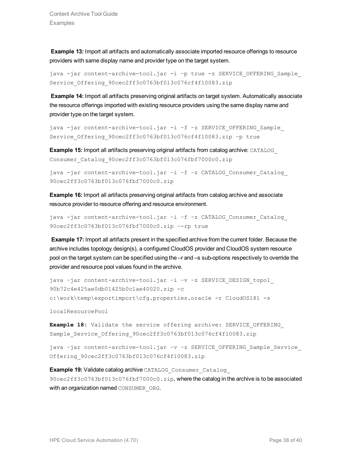**Example 13:** Import all artifacts and automatically associate imported resource offerings to resource providers with same display name and provider type on the target system.

java -jar content-archive-tool.jar -i –p true -z SERVICE\_OFFERING\_Sample\_ Service Offering 90cec2ff3c0763bf013c076cf4f10083.zip

**Example 14:** Import all artifacts preserving original artifacts on target system. Automatically associate the resource offerings imported with existing resource providers using the same display name and provider type on the target system.

java -jar content-archive-tool.jar -i –f –z SERVICE\_OFFERING\_Sample\_ Service Offering 90cec2ff3c0763bf013c076cf4f10083.zip -p true

**Example 15:** Import all artifacts preserving original artifacts from catalog archive: CATALOG Consumer Catalog 90cec2ff3c0763bf013c076fbf7000c0.zip

java -jar content-archive-tool.jar –i –f –z CATALOG\_Consumer\_Catalog\_ 90cec2ff3c0763bf013c076fbf7000c0.zip

**Example 16:** Import all artifacts preserving original artifacts from catalog archive and associate resource provider to resource offering and resource environment.

java -jar content-archive-tool.jar –i –f –z CATALOG\_Consumer\_Catalog\_ 90cec2ff3c0763bf013c076fbf7000c0.zip –-rp true

**Example 17:** Import all artifacts present in the specified archive from the current folder. Because the archive includes topology design(s), a configured CloudOS provider and CloudOS system resource pool on the target system can be specified using the –r and –s sub-options respectively to override the provider and resource pool values found in the archive.

```
java –jar content-archive-tool.jar –i –v –z SERVICE_DESIGN_topo1_
90b72c4e425ae0db01425b0c1ae40020.zip -c
c:\work\temp\exportimport\cfg.properties.oracle -r CloudOS181 -s
```
localResourcePool

**Example 18:** Validate the service offering archive: SERVICE\_OFFERING\_ Sample Service Offering 90cec2ff3c0763bf013c076cf4f10083.zip

java –jar content-archive-tool.jar –v –z SERVICE\_OFFERING\_Sample\_Service\_ Offering\_90cec2ff3c0763bf013c076cf4f10083.zip

**Example 19: Validate catalog archive** CATALOG Consumer Catalog 90cec2ff3c0763bf013c076fbf7000c0.zip, where the catalog in the archive is to be associated with an organization named CONSUMER ORG.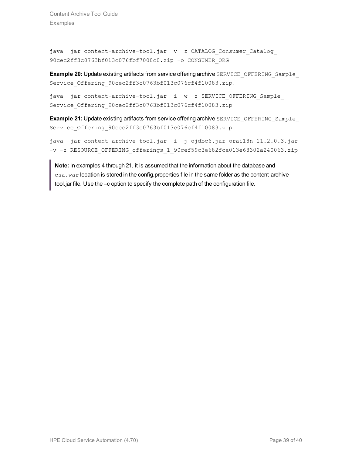```
java –jar content-archive-tool.jar –v –z CATALOG_Consumer_Catalog_
90cec2ff3c0763bf013c076fbf7000c0.zip –o CONSUMER_ORG
```
**Example 20:** Update existing artifacts from service offering archive SERVICE\_OFFERING\_Sample Service Offering 90cec2ff3c0763bf013c076cf4f10083.zip.

```
java –jar content-archive-tool.jar –i –w –z SERVICE_OFFERING_Sample_
Service Offering 90cec2ff3c0763bf013c076cf4f10083.zip
```
**Example 21:** Update existing artifacts from service offering archive SERVICE\_OFFERING\_Sample Service Offering 90cec2ff3c0763bf013c076cf4f10083.zip

java -jar content-archive-tool.jar -i -j ojdbc6.jar orai18n-11.2.0.3.jar -v -z RESOURCE OFFERING offerings 1 90cef59c3e682fca013e68302a240063.zip

**Note:** In examples 4 through 21, it is assumed that the information about the database and csa.war location is stored in the config.properties file in the same folder as the content-archivetool.jar file. Use the –c option to specify the complete path of the configuration file.